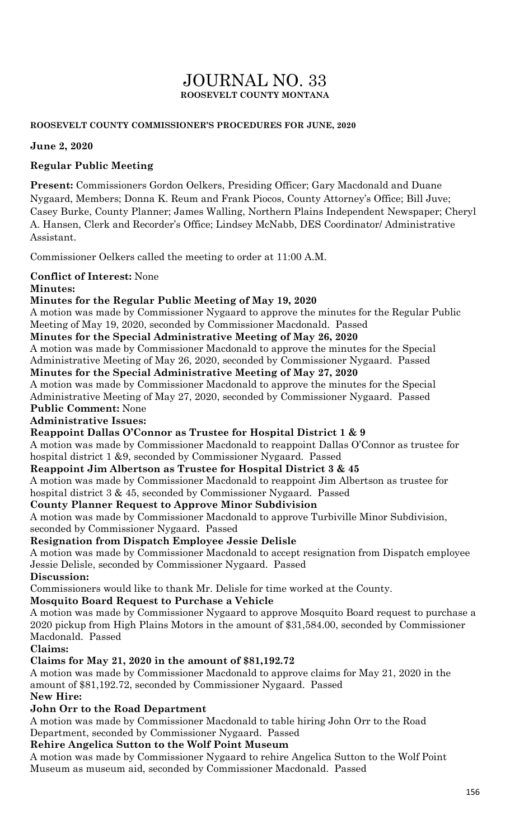## JOURNAL NO. 33 **ROOSEVELT COUNTY MONTANA**

#### **ROOSEVELT COUNTY COMMISSIONER'S PROCEDURES FOR JUNE, 2020**

**June 2, 2020**

### **Regular Public Meeting**

**Present:** Commissioners Gordon Oelkers, Presiding Officer; Gary Macdonald and Duane Nygaard, Members; Donna K. Reum and Frank Piocos, County Attorney's Office; Bill Juve; Casey Burke, County Planner; James Walling, Northern Plains Independent Newspaper; Cheryl A. Hansen, Clerk and Recorder's Office; Lindsey McNabb, DES Coordinator/ Administrative Assistant.

Commissioner Oelkers called the meeting to order at 11:00 A.M.

### **Conflict of Interest:** None

### **Minutes:**

### **Minutes for the Regular Public Meeting of May 19, 2020**

A motion was made by Commissioner Nygaard to approve the minutes for the Regular Public Meeting of May 19, 2020, seconded by Commissioner Macdonald. Passed

#### **Minutes for the Special Administrative Meeting of May 26, 2020**

A motion was made by Commissioner Macdonald to approve the minutes for the Special Administrative Meeting of May 26, 2020, seconded by Commissioner Nygaard. Passed

### **Minutes for the Special Administrative Meeting of May 27, 2020**

A motion was made by Commissioner Macdonald to approve the minutes for the Special Administrative Meeting of May 27, 2020, seconded by Commissioner Nygaard. Passed **Public Comment:** None

#### **Administrative Issues:**

**Reappoint Dallas O'Connor as Trustee for Hospital District 1 & 9** 

A motion was made by Commissioner Macdonald to reappoint Dallas O'Connor as trustee for hospital district 1 &9, seconded by Commissioner Nygaard. Passed

#### **Reappoint Jim Albertson as Trustee for Hospital District 3 & 45**

A motion was made by Commissioner Macdonald to reappoint Jim Albertson as trustee for hospital district 3 & 45, seconded by Commissioner Nygaard. Passed

#### **County Planner Request to Approve Minor Subdivision**

A motion was made by Commissioner Macdonald to approve Turbiville Minor Subdivision, seconded by Commissioner Nygaard. Passed

#### **Resignation from Dispatch Employee Jessie Delisle**

A motion was made by Commissioner Macdonald to accept resignation from Dispatch employee Jessie Delisle, seconded by Commissioner Nygaard. Passed

#### **Discussion:**

Commissioners would like to thank Mr. Delisle for time worked at the County.

#### **Mosquito Board Request to Purchase a Vehicle**

A motion was made by Commissioner Nygaard to approve Mosquito Board request to purchase a 2020 pickup from High Plains Motors in the amount of \$31,584.00, seconded by Commissioner Macdonald. Passed

#### **Claims:**

### **Claims for May 21, 2020 in the amount of \$81,192.72**

A motion was made by Commissioner Macdonald to approve claims for May 21, 2020 in the amount of \$81,192.72, seconded by Commissioner Nygaard. Passed **New Hire:**

### **John Orr to the Road Department**

A motion was made by Commissioner Macdonald to table hiring John Orr to the Road Department, seconded by Commissioner Nygaard. Passed

#### **Rehire Angelica Sutton to the Wolf Point Museum**

A motion was made by Commissioner Nygaard to rehire Angelica Sutton to the Wolf Point Museum as museum aid, seconded by Commissioner Macdonald. Passed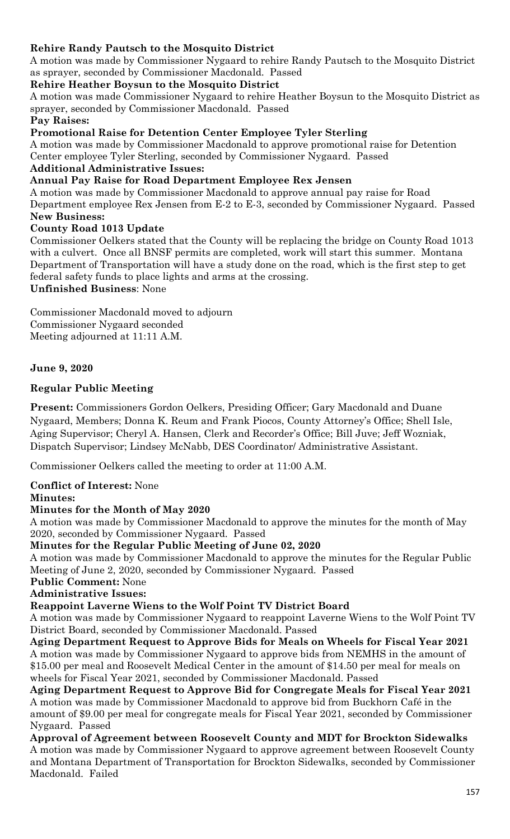### **Rehire Randy Pautsch to the Mosquito District**

A motion was made by Commissioner Nygaard to rehire Randy Pautsch to the Mosquito District as sprayer, seconded by Commissioner Macdonald. Passed

### **Rehire Heather Boysun to the Mosquito District**

A motion was made Commissioner Nygaard to rehire Heather Boysun to the Mosquito District as sprayer, seconded by Commissioner Macdonald. Passed

#### **Pay Raises:**

**Promotional Raise for Detention Center Employee Tyler Sterling** 

A motion was made by Commissioner Macdonald to approve promotional raise for Detention Center employee Tyler Sterling, seconded by Commissioner Nygaard. Passed

#### **Additional Administrative Issues:**

**Annual Pay Raise for Road Department Employee Rex Jensen** 

A motion was made by Commissioner Macdonald to approve annual pay raise for Road Department employee Rex Jensen from E-2 to E-3, seconded by Commissioner Nygaard. Passed **New Business:**

### **County Road 1013 Update**

Commissioner Oelkers stated that the County will be replacing the bridge on County Road 1013 with a culvert. Once all BNSF permits are completed, work will start this summer. Montana Department of Transportation will have a study done on the road, which is the first step to get federal safety funds to place lights and arms at the crossing.

**Unfinished Business**: None

Commissioner Macdonald moved to adjourn Commissioner Nygaard seconded Meeting adjourned at 11:11 A.M.

### **June 9, 2020**

### **Regular Public Meeting**

**Present:** Commissioners Gordon Oelkers, Presiding Officer; Gary Macdonald and Duane Nygaard, Members; Donna K. Reum and Frank Piocos, County Attorney's Office; Shell Isle, Aging Supervisor; Cheryl A. Hansen, Clerk and Recorder's Office; Bill Juve; Jeff Wozniak, Dispatch Supervisor; Lindsey McNabb, DES Coordinator/ Administrative Assistant.

Commissioner Oelkers called the meeting to order at 11:00 A.M.

# **Conflict of Interest:** None

### **Minutes:**

#### **Minutes for the Month of May 2020**

A motion was made by Commissioner Macdonald to approve the minutes for the month of May 2020, seconded by Commissioner Nygaard. Passed

#### **Minutes for the Regular Public Meeting of June 02, 2020**

A motion was made by Commissioner Macdonald to approve the minutes for the Regular Public Meeting of June 2, 2020, seconded by Commissioner Nygaard. Passed

### **Public Comment:** None

**Administrative Issues:**

#### **Reappoint Laverne Wiens to the Wolf Point TV District Board**

A motion was made by Commissioner Nygaard to reappoint Laverne Wiens to the Wolf Point TV District Board, seconded by Commissioner Macdonald. Passed

**Aging Department Request to Approve Bids for Meals on Wheels for Fiscal Year 2021** A motion was made by Commissioner Nygaard to approve bids from NEMHS in the amount of \$15.00 per meal and Roosevelt Medical Center in the amount of \$14.50 per meal for meals on wheels for Fiscal Year 2021, seconded by Commissioner Macdonald. Passed

**Aging Department Request to Approve Bid for Congregate Meals for Fiscal Year 2021** A motion was made by Commissioner Macdonald to approve bid from Buckhorn Café in the amount of \$9.00 per meal for congregate meals for Fiscal Year 2021, seconded by Commissioner Nygaard. Passed

**Approval of Agreement between Roosevelt County and MDT for Brockton Sidewalks**  A motion was made by Commissioner Nygaard to approve agreement between Roosevelt County and Montana Department of Transportation for Brockton Sidewalks, seconded by Commissioner Macdonald. Failed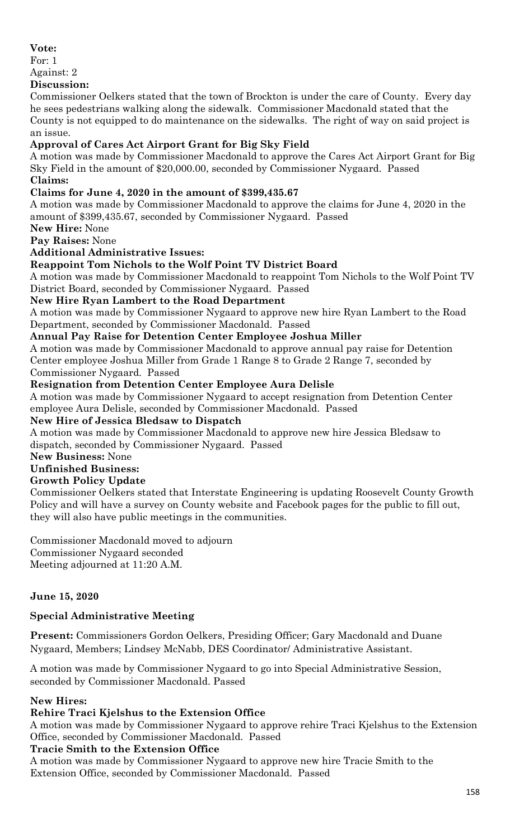### **Vote:**

For: 1

#### Against: 2

### **Discussion:**

Commissioner Oelkers stated that the town of Brockton is under the care of County. Every day he sees pedestrians walking along the sidewalk. Commissioner Macdonald stated that the County is not equipped to do maintenance on the sidewalks. The right of way on said project is an issue.

## **Approval of Cares Act Airport Grant for Big Sky Field**

A motion was made by Commissioner Macdonald to approve the Cares Act Airport Grant for Big Sky Field in the amount of \$20,000.00, seconded by Commissioner Nygaard. Passed **Claims:**

## **Claims for June 4, 2020 in the amount of \$399,435.67**

A motion was made by Commissioner Macdonald to approve the claims for June 4, 2020 in the amount of \$399,435.67, seconded by Commissioner Nygaard. Passed

**New Hire:** None

**Pay Raises:** None

### **Additional Administrative Issues:**

### **Reappoint Tom Nichols to the Wolf Point TV District Board**

A motion was made by Commissioner Macdonald to reappoint Tom Nichols to the Wolf Point TV District Board, seconded by Commissioner Nygaard. Passed

**New Hire Ryan Lambert to the Road Department** 

A motion was made by Commissioner Nygaard to approve new hire Ryan Lambert to the Road Department, seconded by Commissioner Macdonald. Passed

**Annual Pay Raise for Detention Center Employee Joshua Miller** 

A motion was made by Commissioner Macdonald to approve annual pay raise for Detention Center employee Joshua Miller from Grade 1 Range 8 to Grade 2 Range 7, seconded by Commissioner Nygaard. Passed

### **Resignation from Detention Center Employee Aura Delisle**

A motion was made by Commissioner Nygaard to accept resignation from Detention Center employee Aura Delisle, seconded by Commissioner Macdonald. Passed

### **New Hire of Jessica Bledsaw to Dispatch**

A motion was made by Commissioner Macdonald to approve new hire Jessica Bledsaw to dispatch, seconded by Commissioner Nygaard. Passed

### **New Business:** None

## **Unfinished Business:**

### **Growth Policy Update**

Commissioner Oelkers stated that Interstate Engineering is updating Roosevelt County Growth Policy and will have a survey on County website and Facebook pages for the public to fill out, they will also have public meetings in the communities.

Commissioner Macdonald moved to adjourn Commissioner Nygaard seconded

Meeting adjourned at 11:20 A.M.

### **June 15, 2020**

### **Special Administrative Meeting**

**Present:** Commissioners Gordon Oelkers, Presiding Officer; Gary Macdonald and Duane Nygaard, Members; Lindsey McNabb, DES Coordinator/ Administrative Assistant.

A motion was made by Commissioner Nygaard to go into Special Administrative Session, seconded by Commissioner Macdonald. Passed

### **New Hires:**

### **Rehire Traci Kjelshus to the Extension Office**

A motion was made by Commissioner Nygaard to approve rehire Traci Kjelshus to the Extension Office, seconded by Commissioner Macdonald. Passed

### **Tracie Smith to the Extension Office**

A motion was made by Commissioner Nygaard to approve new hire Tracie Smith to the Extension Office, seconded by Commissioner Macdonald. Passed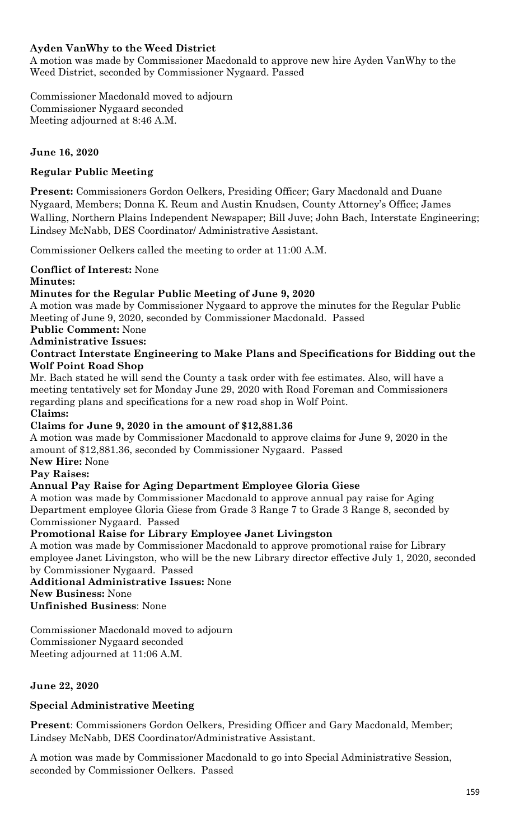### **Ayden VanWhy to the Weed District**

A motion was made by Commissioner Macdonald to approve new hire Ayden VanWhy to the Weed District, seconded by Commissioner Nygaard. Passed

Commissioner Macdonald moved to adjourn Commissioner Nygaard seconded Meeting adjourned at 8:46 A.M.

### **June 16, 2020**

### **Regular Public Meeting**

**Present:** Commissioners Gordon Oelkers, Presiding Officer; Gary Macdonald and Duane Nygaard, Members; Donna K. Reum and Austin Knudsen, County Attorney's Office; James Walling, Northern Plains Independent Newspaper; Bill Juve; John Bach, Interstate Engineering; Lindsey McNabb, DES Coordinator/ Administrative Assistant.

Commissioner Oelkers called the meeting to order at 11:00 A.M.

### **Conflict of Interest:** None

#### **Minutes:**

### **Minutes for the Regular Public Meeting of June 9, 2020**

A motion was made by Commissioner Nygaard to approve the minutes for the Regular Public Meeting of June 9, 2020, seconded by Commissioner Macdonald. Passed

# **Public Comment:** None

### **Administrative Issues:**

#### **Contract Interstate Engineering to Make Plans and Specifications for Bidding out the Wolf Point Road Shop**

Mr. Bach stated he will send the County a task order with fee estimates. Also, will have a meeting tentatively set for Monday June 29, 2020 with Road Foreman and Commissioners regarding plans and specifications for a new road shop in Wolf Point.

#### **Claims:**

#### **Claims for June 9, 2020 in the amount of \$12,881.36**

A motion was made by Commissioner Macdonald to approve claims for June 9, 2020 in the amount of \$12,881.36, seconded by Commissioner Nygaard. Passed

### **New Hire:** None

### **Pay Raises:**

#### **Annual Pay Raise for Aging Department Employee Gloria Giese**

A motion was made by Commissioner Macdonald to approve annual pay raise for Aging Department employee Gloria Giese from Grade 3 Range 7 to Grade 3 Range 8, seconded by Commissioner Nygaard. Passed

#### **Promotional Raise for Library Employee Janet Livingston**

A motion was made by Commissioner Macdonald to approve promotional raise for Library employee Janet Livingston, who will be the new Library director effective July 1, 2020, seconded by Commissioner Nygaard. Passed

**Additional Administrative Issues:** None **New Business:** None **Unfinished Business**: None

Commissioner Macdonald moved to adjourn Commissioner Nygaard seconded Meeting adjourned at 11:06 A.M.

#### **June 22, 2020**

#### **Special Administrative Meeting**

**Present**: Commissioners Gordon Oelkers, Presiding Officer and Gary Macdonald, Member; Lindsey McNabb, DES Coordinator/Administrative Assistant.

A motion was made by Commissioner Macdonald to go into Special Administrative Session, seconded by Commissioner Oelkers. Passed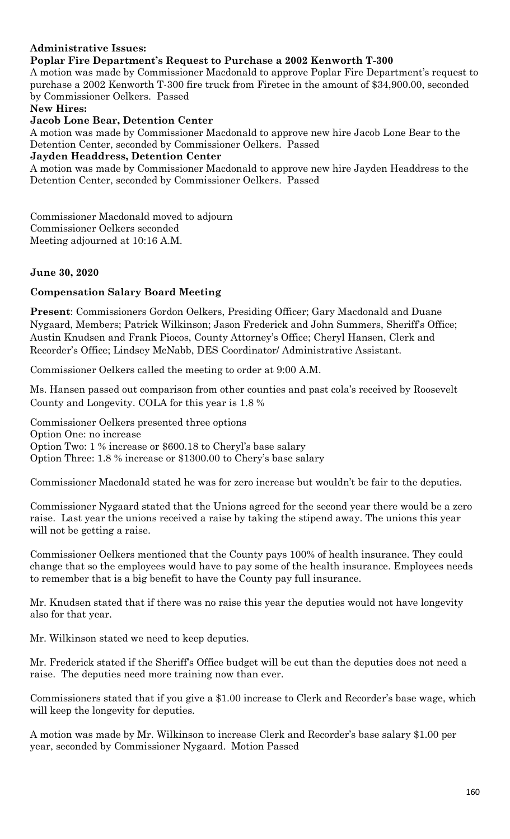### **Administrative Issues:**

#### **Poplar Fire Department's Request to Purchase a 2002 Kenworth T-300**

A motion was made by Commissioner Macdonald to approve Poplar Fire Department's request to purchase a 2002 Kenworth T-300 fire truck from Firetec in the amount of \$34,900.00, seconded by Commissioner Oelkers. Passed

**New Hires:**

**Jacob Lone Bear, Detention Center**

A motion was made by Commissioner Macdonald to approve new hire Jacob Lone Bear to the Detention Center, seconded by Commissioner Oelkers. Passed

**Jayden Headdress, Detention Center** 

A motion was made by Commissioner Macdonald to approve new hire Jayden Headdress to the Detention Center, seconded by Commissioner Oelkers. Passed

Commissioner Macdonald moved to adjourn Commissioner Oelkers seconded Meeting adjourned at 10:16 A.M.

#### **June 30, 2020**

#### **Compensation Salary Board Meeting**

**Present**: Commissioners Gordon Oelkers, Presiding Officer; Gary Macdonald and Duane Nygaard, Members; Patrick Wilkinson; Jason Frederick and John Summers, Sheriff's Office; Austin Knudsen and Frank Piocos, County Attorney's Office; Cheryl Hansen, Clerk and Recorder's Office; Lindsey McNabb, DES Coordinator/ Administrative Assistant.

Commissioner Oelkers called the meeting to order at 9:00 A.M.

Ms. Hansen passed out comparison from other counties and past cola's received by Roosevelt County and Longevity. COLA for this year is 1.8 %

Commissioner Oelkers presented three options Option One: no increase Option Two: 1 % increase or \$600.18 to Cheryl's base salary Option Three: 1.8 % increase or \$1300.00 to Chery's base salary

Commissioner Macdonald stated he was for zero increase but wouldn't be fair to the deputies.

Commissioner Nygaard stated that the Unions agreed for the second year there would be a zero raise. Last year the unions received a raise by taking the stipend away. The unions this year will not be getting a raise.

Commissioner Oelkers mentioned that the County pays 100% of health insurance. They could change that so the employees would have to pay some of the health insurance. Employees needs to remember that is a big benefit to have the County pay full insurance.

Mr. Knudsen stated that if there was no raise this year the deputies would not have longevity also for that year.

Mr. Wilkinson stated we need to keep deputies.

Mr. Frederick stated if the Sheriff's Office budget will be cut than the deputies does not need a raise. The deputies need more training now than ever.

Commissioners stated that if you give a \$1.00 increase to Clerk and Recorder's base wage, which will keep the longevity for deputies.

A motion was made by Mr. Wilkinson to increase Clerk and Recorder's base salary \$1.00 per year, seconded by Commissioner Nygaard. Motion Passed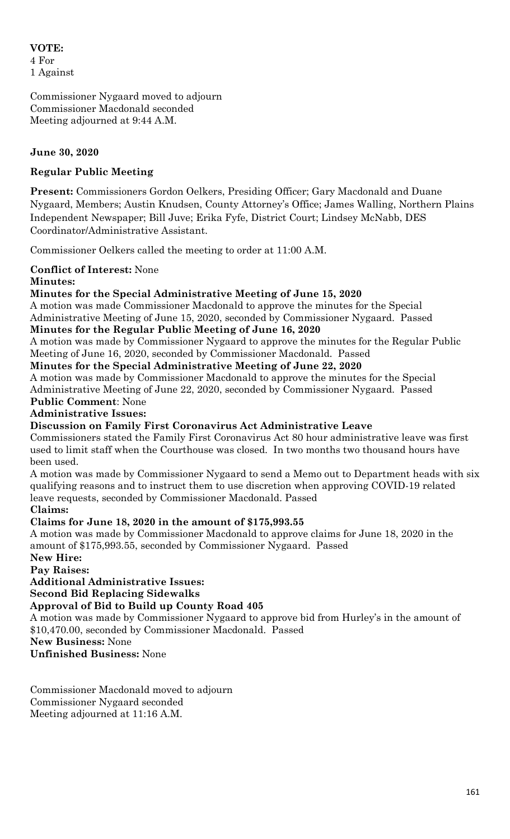### **VOTE:** 4 For 1 Against

Commissioner Nygaard moved to adjourn Commissioner Macdonald seconded Meeting adjourned at 9:44 A.M.

### **June 30, 2020**

### **Regular Public Meeting**

**Present:** Commissioners Gordon Oelkers, Presiding Officer; Gary Macdonald and Duane Nygaard, Members; Austin Knudsen, County Attorney's Office; James Walling, Northern Plains Independent Newspaper; Bill Juve; Erika Fyfe, District Court; Lindsey McNabb, DES Coordinator/Administrative Assistant.

Commissioner Oelkers called the meeting to order at 11:00 A.M.

### **Conflict of Interest:** None

### **Minutes:**

### **Minutes for the Special Administrative Meeting of June 15, 2020**

A motion was made Commissioner Macdonald to approve the minutes for the Special Administrative Meeting of June 15, 2020, seconded by Commissioner Nygaard. Passed

### **Minutes for the Regular Public Meeting of June 16, 2020**

A motion was made by Commissioner Nygaard to approve the minutes for the Regular Public Meeting of June 16, 2020, seconded by Commissioner Macdonald. Passed

**Minutes for the Special Administrative Meeting of June 22, 2020**

A motion was made by Commissioner Macdonald to approve the minutes for the Special Administrative Meeting of June 22, 2020, seconded by Commissioner Nygaard. Passed

# **Public Comment**: None

### **Administrative Issues:**

#### **Discussion on Family First Coronavirus Act Administrative Leave**

Commissioners stated the Family First Coronavirus Act 80 hour administrative leave was first used to limit staff when the Courthouse was closed. In two months two thousand hours have been used.

A motion was made by Commissioner Nygaard to send a Memo out to Department heads with six qualifying reasons and to instruct them to use discretion when approving COVID-19 related leave requests, seconded by Commissioner Macdonald. Passed

**Claims:**

### **Claims for June 18, 2020 in the amount of \$175,993.55**

A motion was made by Commissioner Macdonald to approve claims for June 18, 2020 in the amount of \$175,993.55, seconded by Commissioner Nygaard. Passed

**New Hire: Pay Raises:**

**Additional Administrative Issues:**

**Second Bid Replacing Sidewalks** 

#### **Approval of Bid to Build up County Road 405**

A motion was made by Commissioner Nygaard to approve bid from Hurley's in the amount of \$10,470.00, seconded by Commissioner Macdonald. Passed

**New Business:** None

**Unfinished Business:** None

Commissioner Macdonald moved to adjourn Commissioner Nygaard seconded Meeting adjourned at 11:16 A.M.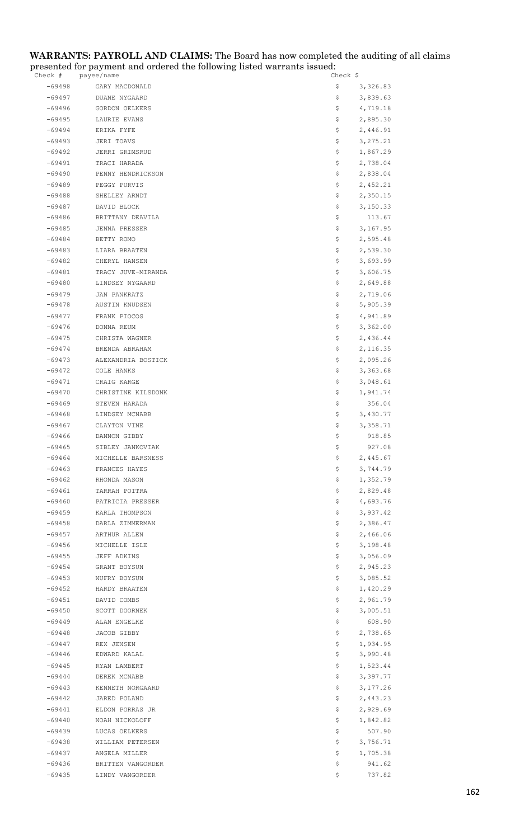#### **WARRANTS: PAYROLL AND CLAIMS:** The Board has now completed the auditing of all claims presented for payment and ordered the following listed warrants issued:

| Check #              | payee/name                    | Check Ş                          |
|----------------------|-------------------------------|----------------------------------|
| $-69498$             | GARY MACDONALD                | \$<br>3,326.83                   |
| -69497               | DUANE NYGAARD                 | \$<br>3,839.63                   |
| -69496               | GORDON OELKERS                | \$<br>4,719.18                   |
| -69495               | LAURIE EVANS                  | \$<br>2,895.30                   |
| $-69494$             | ERIKA FYFE                    | \$<br>2,446.91                   |
| $-69493$             | JERI TOAVS                    | \$<br>3, 275.21                  |
| -69492               | JERRI GRIMSRUD                | \$<br>1,867.29                   |
| -69491               | TRACI HARADA                  | \$<br>2,738.04                   |
| $-69490$             | PENNY HENDRICKSON             | \$<br>2,838.04                   |
| $-69489$             | PEGGY PURVIS                  | \$<br>2,452.21                   |
| $-69488$             | SHELLEY ARNDT                 | 2,350.15<br>Ş.                   |
| $-69487$             | DAVID BLOCK                   | \$<br>3,150.33                   |
| -69486               | BRITTANY DEAVILA              | \$<br>113.67                     |
| $-69485$             | JENNA PRESSER                 | \$<br>3,167.95                   |
| -69484               | BETTY ROMO                    | Ş.<br>2,595.48                   |
| $-69483$             | LIARA BRAATEN                 | 2,539.30<br>Ş.                   |
| $-69482$             | CHERYL HANSEN                 | \$<br>3,693.99                   |
| $-69481$             | TRACY JUVE-MIRANDA            | \$<br>3,606.75                   |
| $-69480$             | LINDSEY NYGAARD               | \$<br>2,649.88                   |
| $-69479$             | JAN PANKRATZ                  | \$<br>2,719.06                   |
| $-69478$             | AUSTIN KNUDSEN                | \$<br>5,905.39                   |
| $-69477$             | FRANK PIOCOS                  | \$<br>4,941.89                   |
| $-69476$             | DONNA REUM                    | \$<br>3,362.00                   |
| -69475               | CHRISTA WAGNER                | \$<br>2,436.44                   |
| $-69474$             | BRENDA ABRAHAM                | \$<br>2,116.35                   |
| $-69473$             | ALEXANDRIA BOSTICK            | \$<br>2,095.26                   |
| $-69472$             | COLE HANKS                    | 3,363.68<br>Ş.                   |
| $-69471$             | CRAIG KARGE                   | \$<br>3,048.61                   |
| $-69470$             | CHRISTINE KILSDONK            | \$<br>1,941.74                   |
| $-69469$             | STEVEN HARADA                 | \$<br>356.04                     |
| $-69468$             | LINDSEY MCNABB                | 3,430.77<br>Ş.                   |
| $-69467$             | CLAYTON VINE                  | 3,358.71<br>Ş.                   |
| $-69466$             | DANNON GIBBY                  | \$<br>918.85                     |
| -69465               | SIBLEY JANKOVIAK              | 927.08<br>\$                     |
| -69464               | MICHELLE BARSNESS             | Ş.<br>2,445.67                   |
| $-69463$             | FRANCES HAYES                 | \$<br>3,744.79                   |
| $-69462$             | RHONDA MASON                  | \$<br>1,352.79                   |
| $-69461$             | TARRAH POITRA                 | 2,829.48<br>\$                   |
| $-69460$             | PATRICIA PRESSER              | \$<br>4,693.76                   |
| -69459               | KARLA THOMPSON                | \$<br>3,937.42                   |
| $-69458$             | DARLA ZIMMERMAN               | \$<br>2,386.47                   |
| $-69457$<br>$-69456$ | ARTHUR ALLEN<br>MICHELLE ISLE | \$<br>2,466.06<br>3,198.48       |
|                      |                               | Ş.                               |
| $-69455$<br>$-69454$ | JEFF ADKINS                   | \$<br>3,056.09<br>\$<br>2,945.23 |
| $-69453$             | GRANT BOYSUN                  | \$                               |
| $-69452$             | NUFRY BOYSUN<br>HARDY BRAATEN | 3,085.52<br>1,420.29<br>\$.      |
| $-69451$             | DAVID COMBS                   | 2,961.79<br>Ş.                   |
| $-69450$             | SCOTT DOORNEK                 | \$<br>3,005.51                   |
| $-69449$             | ALAN ENGELKE                  | 608.90<br>\$                     |
| -69448               | JACOB GIBBY                   | \$<br>2,738.65                   |
| $-69447$             | REX JENSEN                    | 1,934.95<br>\$.                  |
| $-69446$             | EDWARD KALAL                  | 3,990.48<br>\$.                  |
| $-69445$             | RYAN LAMBERT                  | \$<br>1,523.44                   |
| -69444               | DEREK MCNABB                  | \$<br>3,397.77                   |
| -69443               | KENNETH NORGAARD              | \$<br>3,177.26                   |
| $-69442$             | JARED POLAND                  | \$<br>2,443.23                   |
| $-69441$             | ELDON PORRAS JR               | 2,929.69<br>\$                   |
| $-69440$             | NOAH NICKOLOFF                | 1,842.82<br>Ş.                   |
| $-69439$             | LUCAS OELKERS                 | 507.90<br>\$                     |
| $-69438$             | WILLIAM PETERSEN              | \$<br>3,756.71                   |
| $-69437$             | ANGELA MILLER                 | \$<br>1,705.38                   |
| $-69436$             | BRITTEN VANGORDER             | 941.62<br>Ş                      |
| $-69435$             | LINDY VANGORDER               | 737.82<br>\$                     |
|                      |                               |                                  |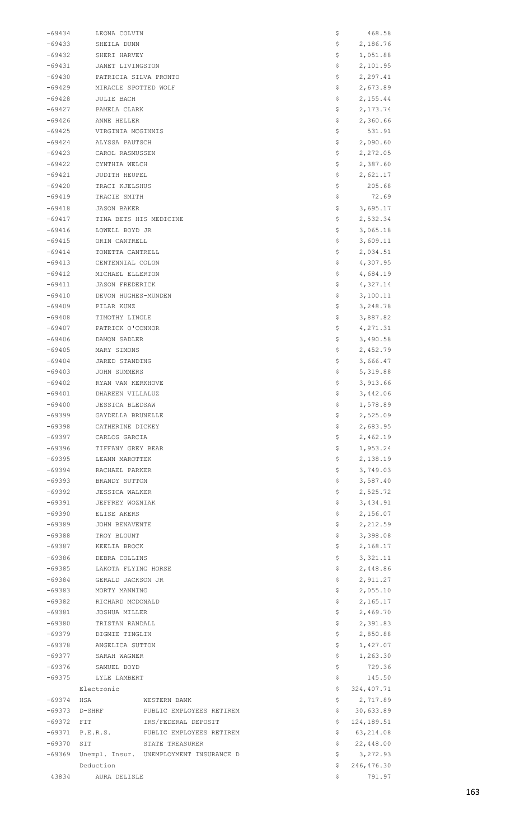| -69434   | LEONA COLVIN                            | \$           | 468.58     |
|----------|-----------------------------------------|--------------|------------|
| -69433   | SHEILA DUNN                             | \$           | 2,186.76   |
| $-69432$ | SHERI HARVEY                            | \$           | 1,051.88   |
| $-69431$ | JANET LIVINGSTON                        | Ş            | 2,101.95   |
| $-69430$ | PATRICIA SILVA PRONTO                   | \$           | 2,297.41   |
| $-69429$ | MIRACLE SPOTTED WOLF                    | \$           | 2,673.89   |
| -69428   | JULIE BACH                              | \$           | 2,155.44   |
| $-69427$ | PAMELA CLARK                            | \$           | 2,173.74   |
| $-69426$ | ANNE HELLER                             | \$           | 2,360.66   |
| -69425   | VIRGINIA MCGINNIS                       | \$           | 531.91     |
| -69424   | ALYSSA PAUTSCH                          | \$           | 2,090.60   |
| -69423   | CAROL RASMUSSEN                         | \$           | 2,272.05   |
| $-69422$ | CYNTHIA WELCH                           | \$           | 2,387.60   |
| $-69421$ | JUDITH HEUPEL                           | Ş            | 2,621.17   |
| $-69420$ | TRACI KJELSHUS                          | \$           | 205.68     |
| -69419   | TRACIE SMITH                            | \$           | 72.69      |
| -69418   | JASON BAKER                             | \$           | 3,695.17   |
| -69417   | TINA BETS HIS MEDICINE                  | \$           | 2,532.34   |
| $-69416$ | LOWELL BOYD JR                          | \$           | 3,065.18   |
| $-69415$ | ORIN CANTRELL                           | Ş            | 3,609.11   |
| $-69414$ | TONETTA CANTRELL                        | \$           | 2,034.51   |
| $-69413$ | CENTENNIAL COLON                        | \$           | 4,307.95   |
| -69412   | MICHAEL ELLERTON                        | \$           | 4,684.19   |
| $-69411$ | <b>JASON FREDERICK</b>                  | \$           | 4,327.14   |
| $-69410$ | DEVON HUGHES-MUNDEN                     | Ş            | 3,100.11   |
| -69409   | PILAR KUNZ                              | Ş            | 3,248.78   |
| -69408   | TIMOTHY LINGLE                          | \$           | 3,887.82   |
| $-69407$ | PATRICK O'CONNOR                        | \$           | 4,271.31   |
| $-69406$ | DAMON SADLER                            | \$           | 3,490.58   |
| -69405   | MARY SIMONS                             | \$           | 2,452.79   |
| $-69404$ | JARED STANDING                          | \$           | 3,666.47   |
| $-69403$ | JOHN SUMMERS                            | \$           | 5,319.88   |
| $-69402$ | RYAN VAN KERKHOVE                       | \$           | 3,913.66   |
| $-69401$ | DHAREEN VILLALUZ                        | \$           | 3,442.06   |
| $-69400$ | <b>JESSICA BLEDSAW</b>                  | Ş            | 1,578.89   |
| $-69399$ | GAYDELLA BRUNELLE                       | \$           | 2,525.09   |
| $-69398$ | CATHERINE DICKEY                        | \$           | 2,683.95   |
| -69397   | CARLOS GARCIA                           | \$           | 2,462.19   |
| $-69396$ | TIFFANY GREY BEAR                       | \$           | 1,953.24   |
| $-69395$ | LEANN MAROTTEK                          | \$           | 2,138.19   |
| $-69394$ | RACHAEL PARKER                          | \$           | 3,749.03   |
| $-69393$ | BRANDY SUTTON                           | \$           | 3,587.40   |
| -69392   | <b>JESSICA WALKER</b>                   | \$           | 2,525.72   |
| $-69391$ | JEFFREY WOZNIAK                         | \$           | 3,434.91   |
| $-69390$ | ELISE AKERS                             | \$           | 2,156.07   |
| $-69389$ | JOHN BENAVENTE                          | \$           | 2,212.59   |
| $-69388$ | TROY BLOUNT                             | \$           | 3,398.08   |
| -69387   | KEELIA BROCK                            | \$           | 2,168.17   |
| $-69386$ | DEBRA COLLINS                           | \$           | 3,321.11   |
| -69385   | LAKOTA FLYING HORSE                     | \$           | 2,448.86   |
| $-69384$ | GERALD JACKSON JR                       | \$           | 2,911.27   |
| $-69383$ | MORTY MANNING                           | \$           | 2,055.10   |
| $-69382$ | RICHARD MCDONALD                        | \$           | 2,165.17   |
| -69381   | JOSHUA MILLER                           | \$           | 2,469.70   |
| $-69380$ | TRISTAN RANDALL                         | \$           | 2,391.83   |
| $-69379$ | DIGMIE TINGLIN                          | \$           | 2,850.88   |
| $-69378$ | ANGELICA SUTTON                         | \$           | 1,427.07   |
| $-69377$ | SARAH WAGNER                            | \$           | 1,263.30   |
| -69376   | SAMUEL BOYD                             | \$           | 729.36     |
| $-69375$ | LYLE LAMBERT                            | \$           | 145.50     |
|          | Electronic                              | \$           | 324,407.71 |
| $-69374$ | WESTERN BANK<br>HSA                     | \$           | 2,717.89   |
| $-69373$ | D-SHRF<br>PUBLIC EMPLOYEES RETIREM      | \$           | 30,633.89  |
| -69372   | IRS/FEDERAL DEPOSIT<br>FIT              | \$           | 124,189.51 |
| $-69371$ | P.E.R.S.<br>PUBLIC EMPLOYEES RETIREM    | \$           | 63,214.08  |
| $-69370$ | SIT<br>STATE TREASURER                  | \$           | 22,448.00  |
| -69369   | Unempl. Insur. UNEMPLOYMENT INSURANCE D | \$           | 3,272.93   |
|          | Deduction                               | \$           | 246,476.30 |
| 43834    | AURA DELISLE                            | $\mathsf{S}$ | 791.97     |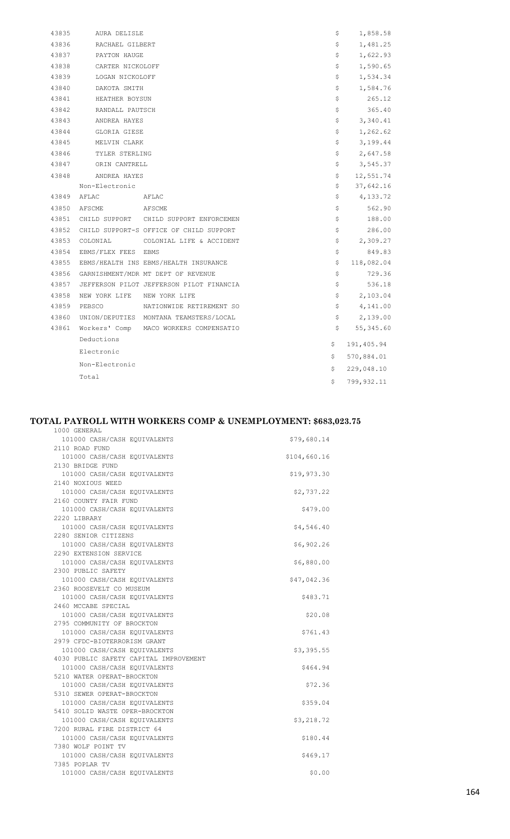| 43835 | AURA DELISLE                |                                          | \$  | 1,858.58   |
|-------|-----------------------------|------------------------------------------|-----|------------|
| 43836 | RACHAEL GILBERT             |                                          | \$  | 1,481.25   |
| 43837 | PAYTON HAUGE                |                                          | \$  | 1,622.93   |
| 43838 | CARTER NICKOLOFF            |                                          | \$  | 1,590.65   |
| 43839 | LOGAN NICKOLOFF             |                                          | \$  | 1,534.34   |
| 43840 | DAKOTA SMITH                |                                          | \$  | 1,584.76   |
| 43841 | HEATHER BOYSUN              |                                          | \$  | 265.12     |
| 43842 | RANDALL PAUTSCH             |                                          | \$  | 365.40     |
| 43843 | ANDREA HAYES                |                                          | \$  | 3,340.41   |
| 43844 | GLORIA GIESE                |                                          | \$  | 1,262.62   |
| 43845 | MELVIN CLARK                |                                          | \$  | 3,199.44   |
| 43846 | TYLER STERLING              |                                          | \$  | 2,647.58   |
| 43847 | ORIN CANTRELL               |                                          | \$  | 3,545.37   |
| 43848 | ANDREA HAYES                |                                          | \$  | 12,551.74  |
|       | Non-Electronic              |                                          | \$  | 37,642.16  |
| 43849 | AFLAC                       | AFLAC                                    | \$  | 4,133.72   |
| 43850 | AFSCME                      | AFSCME                                   | \$  | 562.90     |
| 43851 |                             | CHILD SUPPORT CHILD SUPPORT ENFORCEMEN   | \$  | 188.00     |
| 43852 |                             | CHILD SUPPORT-S OFFICE OF CHILD SUPPORT  | \$  | 286.00     |
| 43853 |                             | COLONIAL COLONIAL LIFE & ACCIDENT        | \$  | 2,309.27   |
| 43854 | EBMS/FLEX FEES EBMS         |                                          | \$  | 849.83     |
| 43855 |                             | EBMS/HEALTH INS EBMS/HEALTH INSURANCE    | \$  | 118,082.04 |
| 43856 |                             | GARNISHMENT/MDR MT DEPT OF REVENUE       | \$  | 729.36     |
| 43857 |                             | JEFFERSON PILOT JEFFERSON PILOT FINANCIA | \$  | 536.18     |
| 43858 | NEW YORK LIFE NEW YORK LIFE |                                          | \$  | 2,103.04   |
| 43859 | PEBSCO                      | NATIONWIDE RETIREMENT SO                 | \$  | 4,141.00   |
| 43860 |                             | UNION/DEPUTIES MONTANA TEAMSTERS/LOCAL   | \$  | 2,139.00   |
| 43861 | Workers' Comp               | MACO WORKERS COMPENSATIO                 | \$  | 55, 345.60 |
|       | Deductions                  |                                          | \$. | 191,405.94 |
|       | Electronic                  |                                          | \$  | 570,884.01 |
|       | Non-Electronic              |                                          | \$  | 229,048.10 |
|       | Total                       |                                          | \$  | 799,932.11 |
|       |                             |                                          |     |            |

#### **TOTAL PAYROLL WITH WORKERS COMP & UNEMPLOYMENT: \$683,023.75**

1000 GENERAL

| 101000 CASH/CASH EOUIVALENTS                               | \$79,680.14  |
|------------------------------------------------------------|--------------|
| 2110 ROAD FUND                                             |              |
| 101000 CASH/CASH EQUIVALENTS                               | \$104,660.16 |
| 2130 BRIDGE FUND                                           |              |
| 101000 CASH/CASH EQUIVALENTS                               | \$19,973.30  |
| 2140 NOXIOUS WEED                                          |              |
| 101000 CASH/CASH EQUIVALENTS                               | \$2,737.22   |
| 2160 COUNTY FAIR FUND                                      |              |
| 101000 CASH/CASH EQUIVALENTS                               | \$479.00     |
| 2220 LIBRARY                                               |              |
| 101000 CASH/CASH EQUIVALENTS                               | \$4,546.40   |
| 2280 SENIOR CITIZENS                                       |              |
| 101000 CASH/CASH EQUIVALENTS                               | \$6,902.26   |
| 2290 EXTENSION SERVICE                                     |              |
| 101000 CASH/CASH EQUIVALENTS                               | \$6,880.00   |
| 2300 PUBLIC SAFETY                                         |              |
| 101000 CASH/CASH EQUIVALENTS                               | \$47,042.36  |
| 2360 ROOSEVELT CO MUSEUM                                   |              |
| 101000 CASH/CASH EQUIVALENTS                               | \$483.71     |
| 2460 MCCABE SPECIAL                                        |              |
| 101000 CASH/CASH EQUIVALENTS                               | \$20.08      |
| 2795 COMMUNITY OF BROCKTON                                 |              |
| 101000 CASH/CASH EQUIVALENTS                               | \$761.43     |
| 2979 CFDC-BIOTERRORISM GRANT                               |              |
| 101000 CASH/CASH EQUIVALENTS                               | \$3,395.55   |
| 4030 PUBLIC SAFETY CAPITAL IMPROVEMENT                     |              |
| 101000 CASH/CASH EQUIVALENTS                               | \$464.94     |
| 5210 WATER OPERAT-BROCKTON<br>101000 CASH/CASH EQUIVALENTS | \$72.36      |
| 5310 SEWER OPERAT-BROCKTON                                 |              |
| 101000 CASH/CASH EQUIVALENTS                               | \$359.04     |
| 5410 SOLID WASTE OPER-BROCKTON                             |              |
| 101000 CASH/CASH EQUIVALENTS                               | \$3,218.72   |
| 7200 RURAL FIRE DISTRICT 64                                |              |
| 101000 CASH/CASH EQUIVALENTS                               | \$180.44     |
| 7380 WOLF POINT TV                                         |              |
| 101000 CASH/CASH EQUIVALENTS                               | \$469.17     |
| 7385 POPLAR TV                                             |              |
| 101000 CASH/CASH EQUIVALENTS                               | \$0.00       |
|                                                            |              |